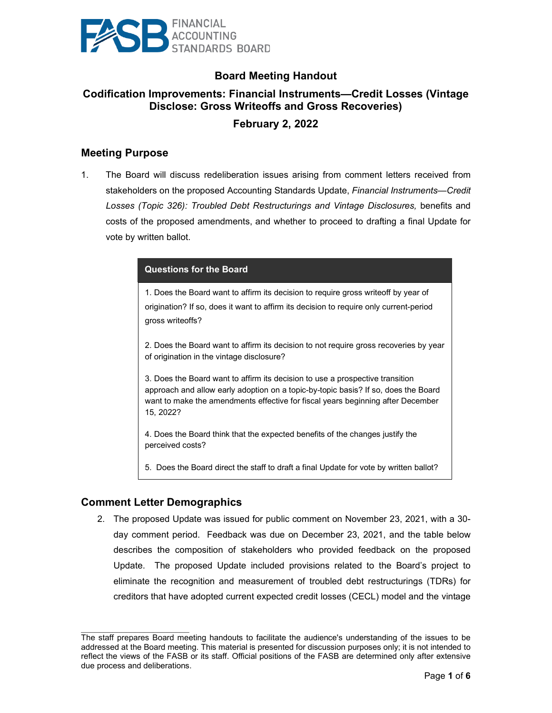

# **Board Meeting Handout**

# **Codification Improvements: Financial Instruments—Credit Losses (Vintage Disclose: Gross Writeoffs and Gross Recoveries)**

# **February 2, 2022**

# **Meeting Purpose**

1. The Board will discuss redeliberation issues arising from comment letters received from stakeholders on the proposed Accounting Standards Update, *Financial Instruments—Credit Losses (Topic 326): Troubled Debt Restructurings and Vintage Disclosures,* benefits and costs of the proposed amendments, and whether to proceed to drafting a final Update for vote by written ballot.

#### **Questions for the Board**

1. Does the Board want to affirm its decision to require gross writeoff by year of origination? If so, does it want to affirm its decision to require only current-period gross writeoffs?

2. Does the Board want to affirm its decision to not require gross recoveries by year of origination in the vintage disclosure?

3. Does the Board want to affirm its decision to use a prospective transition approach and allow early adoption on a topic-by-topic basis? If so, does the Board want to make the amendments effective for fiscal years beginning after December 15, 2022?

4. Does the Board think that the expected benefits of the changes justify the perceived costs?

5. Does the Board direct the staff to draft a final Update for vote by written ballot?

#### **Comment Letter Demographics**

 $\mathcal{L}_\text{max}$  , where  $\mathcal{L}_\text{max}$  and  $\mathcal{L}_\text{max}$ 

2. The proposed Update was issued for public comment on November 23, 2021, with a 30 day comment period. Feedback was due on December 23, 2021, and the table below describes the composition of stakeholders who provided feedback on the proposed Update. The proposed Update included provisions related to the Board's project to eliminate the recognition and measurement of troubled debt restructurings (TDRs) for creditors that have adopted current expected credit losses (CECL) model and the vintage

The staff prepares Board meeting handouts to facilitate the audience's understanding of the issues to be addressed at the Board meeting. This material is presented for discussion purposes only; it is not intended to reflect the views of the FASB or its staff. Official positions of the FASB are determined only after extensive due process and deliberations.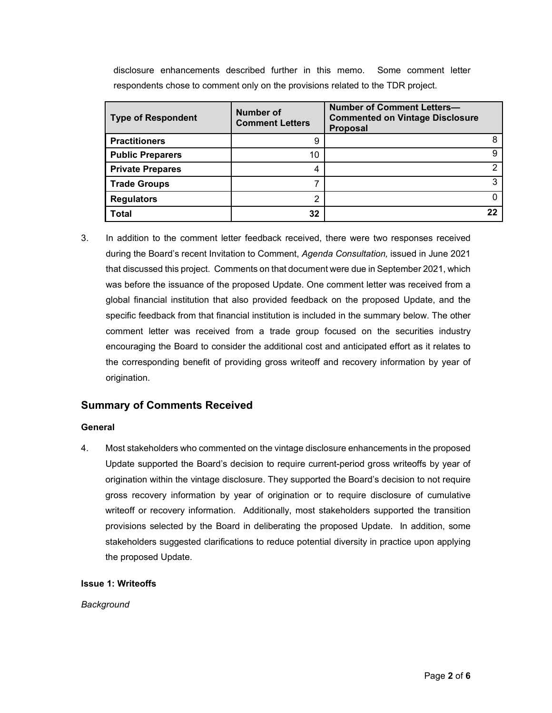disclosure enhancements described further in this memo. Some comment letter respondents chose to comment only on the provisions related to the TDR project.

| <b>Type of Respondent</b> | <b>Number of</b><br><b>Comment Letters</b> | <b>Number of Comment Letters-</b><br><b>Commented on Vintage Disclosure</b><br><b>Proposal</b> |
|---------------------------|--------------------------------------------|------------------------------------------------------------------------------------------------|
| <b>Practitioners</b>      | 9                                          |                                                                                                |
| <b>Public Preparers</b>   | 10                                         |                                                                                                |
| <b>Private Prepares</b>   | 4                                          |                                                                                                |
| <b>Trade Groups</b>       |                                            | ົ                                                                                              |
| <b>Regulators</b>         | ⌒                                          |                                                                                                |
| Total                     | 32                                         |                                                                                                |

3. In addition to the comment letter feedback received, there were two responses received during the Board's recent Invitation to Comment, *Agenda Consultation,* issued in June 2021 that discussed this project. Comments on that document were due in September 2021, which was before the issuance of the proposed Update. One comment letter was received from a global financial institution that also provided feedback on the proposed Update, and the specific feedback from that financial institution is included in the summary below. The other comment letter was received from a trade group focused on the securities industry encouraging the Board to consider the additional cost and anticipated effort as it relates to the corresponding benefit of providing gross writeoff and recovery information by year of origination.

# **Summary of Comments Received**

#### **General**

4. Most stakeholders who commented on the vintage disclosure enhancements in the proposed Update supported the Board's decision to require current-period gross writeoffs by year of origination within the vintage disclosure. They supported the Board's decision to not require gross recovery information by year of origination or to require disclosure of cumulative writeoff or recovery information. Additionally, most stakeholders supported the transition provisions selected by the Board in deliberating the proposed Update. In addition, some stakeholders suggested clarifications to reduce potential diversity in practice upon applying the proposed Update.

#### **Issue 1: Writeoffs**

*Background*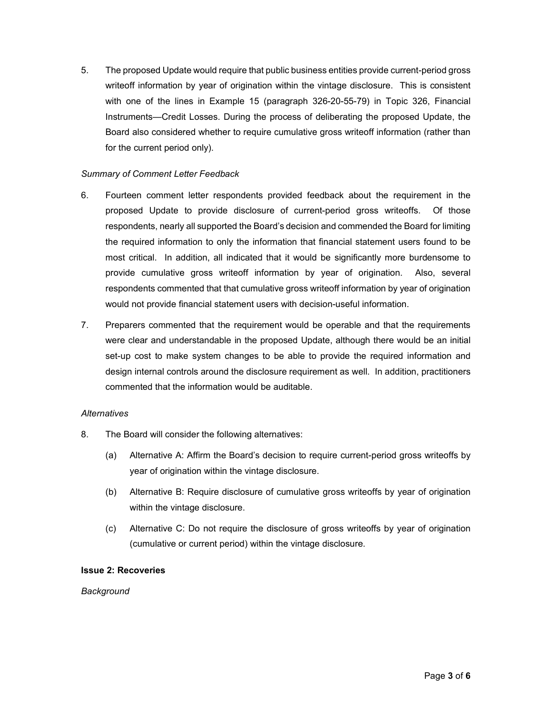5. The proposed Update would require that public business entities provide current-period gross writeoff information by year of origination within the vintage disclosure. This is consistent with one of the lines in Example 15 (paragraph 326-20-55-79) in Topic 326, Financial Instruments—Credit Losses. During the process of deliberating the proposed Update, the Board also considered whether to require cumulative gross writeoff information (rather than for the current period only).

#### *Summary of Comment Letter Feedback*

- 6. Fourteen comment letter respondents provided feedback about the requirement in the proposed Update to provide disclosure of current-period gross writeoffs. Of those respondents, nearly all supported the Board's decision and commended the Board for limiting the required information to only the information that financial statement users found to be most critical. In addition, all indicated that it would be significantly more burdensome to provide cumulative gross writeoff information by year of origination. Also, several respondents commented that that cumulative gross writeoff information by year of origination would not provide financial statement users with decision-useful information.
- 7. Preparers commented that the requirement would be operable and that the requirements were clear and understandable in the proposed Update, although there would be an initial set-up cost to make system changes to be able to provide the required information and design internal controls around the disclosure requirement as well. In addition, practitioners commented that the information would be auditable.

#### *Alternatives*

- 8. The Board will consider the following alternatives:
	- (a) Alternative A: Affirm the Board's decision to require current-period gross writeoffs by year of origination within the vintage disclosure.
	- (b) Alternative B: Require disclosure of cumulative gross writeoffs by year of origination within the vintage disclosure.
	- (c) Alternative C: Do not require the disclosure of gross writeoffs by year of origination (cumulative or current period) within the vintage disclosure.

#### **Issue 2: Recoveries**

#### *Background*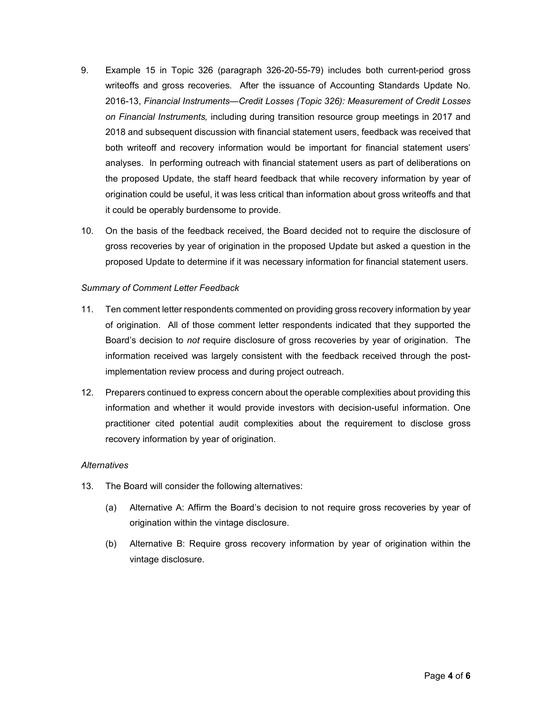- 9. Example 15 in Topic 326 (paragraph 326-20-55-79) includes both current-period gross writeoffs and gross recoveries. After the issuance of Accounting Standards Update No. 2016-13, *Financial Instruments—Credit Losses (Topic 326): Measurement of Credit Losses on Financial Instruments,* including during transition resource group meetings in 2017 and 2018 and subsequent discussion with financial statement users, feedback was received that both writeoff and recovery information would be important for financial statement users' analyses. In performing outreach with financial statement users as part of deliberations on the proposed Update, the staff heard feedback that while recovery information by year of origination could be useful, it was less critical than information about gross writeoffs and that it could be operably burdensome to provide.
- 10. On the basis of the feedback received, the Board decided not to require the disclosure of gross recoveries by year of origination in the proposed Update but asked a question in the proposed Update to determine if it was necessary information for financial statement users.

#### *Summary of Comment Letter Feedback*

- 11. Ten comment letter respondents commented on providing gross recovery information by year of origination. All of those comment letter respondents indicated that they supported the Board's decision to *not* require disclosure of gross recoveries by year of origination. The information received was largely consistent with the feedback received through the postimplementation review process and during project outreach.
- 12. Preparers continued to express concern about the operable complexities about providing this information and whether it would provide investors with decision-useful information. One practitioner cited potential audit complexities about the requirement to disclose gross recovery information by year of origination.

#### *Alternatives*

- 13. The Board will consider the following alternatives:
	- (a) Alternative A: Affirm the Board's decision to not require gross recoveries by year of origination within the vintage disclosure.
	- (b) Alternative B: Require gross recovery information by year of origination within the vintage disclosure.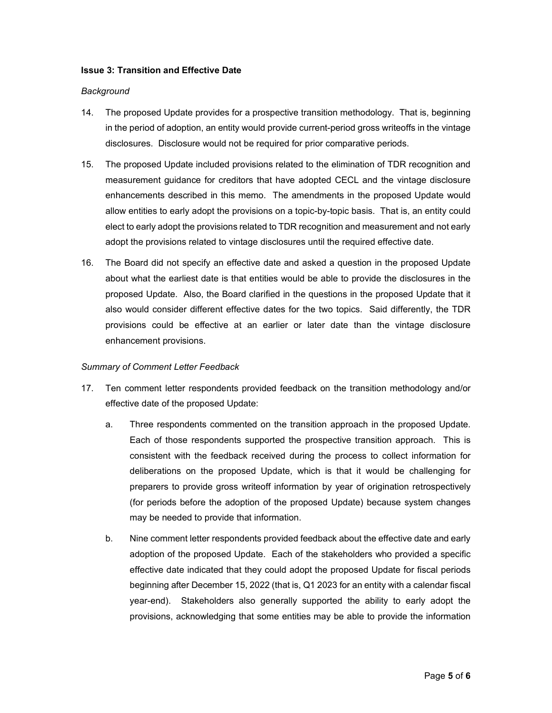#### **Issue 3: Transition and Effective Date**

#### *Background*

- 14. The proposed Update provides for a prospective transition methodology. That is, beginning in the period of adoption, an entity would provide current-period gross writeoffs in the vintage disclosures. Disclosure would not be required for prior comparative periods.
- 15. The proposed Update included provisions related to the elimination of TDR recognition and measurement guidance for creditors that have adopted CECL and the vintage disclosure enhancements described in this memo. The amendments in the proposed Update would allow entities to early adopt the provisions on a topic-by-topic basis. That is, an entity could elect to early adopt the provisions related to TDR recognition and measurement and not early adopt the provisions related to vintage disclosures until the required effective date.
- 16. The Board did not specify an effective date and asked a question in the proposed Update about what the earliest date is that entities would be able to provide the disclosures in the proposed Update. Also, the Board clarified in the questions in the proposed Update that it also would consider different effective dates for the two topics. Said differently, the TDR provisions could be effective at an earlier or later date than the vintage disclosure enhancement provisions.

#### *Summary of Comment Letter Feedback*

- 17. Ten comment letter respondents provided feedback on the transition methodology and/or effective date of the proposed Update:
	- a. Three respondents commented on the transition approach in the proposed Update. Each of those respondents supported the prospective transition approach. This is consistent with the feedback received during the process to collect information for deliberations on the proposed Update, which is that it would be challenging for preparers to provide gross writeoff information by year of origination retrospectively (for periods before the adoption of the proposed Update) because system changes may be needed to provide that information.
	- b. Nine comment letter respondents provided feedback about the effective date and early adoption of the proposed Update. Each of the stakeholders who provided a specific effective date indicated that they could adopt the proposed Update for fiscal periods beginning after December 15, 2022 (that is, Q1 2023 for an entity with a calendar fiscal year-end). Stakeholders also generally supported the ability to early adopt the provisions, acknowledging that some entities may be able to provide the information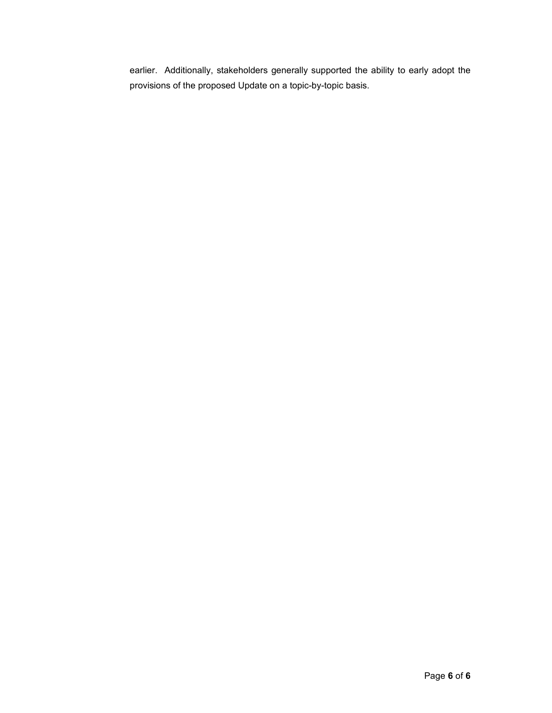earlier. Additionally, stakeholders generally supported the ability to early adopt the provisions of the proposed Update on a topic-by-topic basis.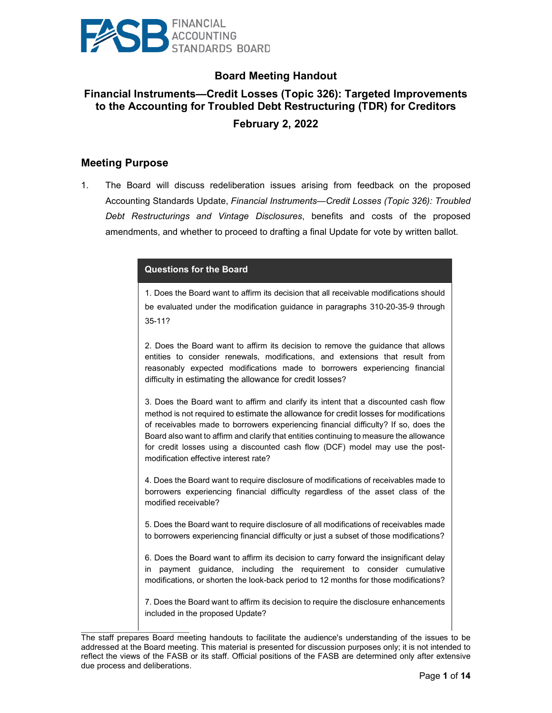

# **Board Meeting Handout**

# **Financial Instruments—Credit Losses (Topic 326): Targeted Improvements to the Accounting for Troubled Debt Restructuring (TDR) for Creditors February 2, 2022**

### **Meeting Purpose**

 $\mathcal{L}_\text{max}$  and  $\mathcal{L}_\text{max}$  and  $\mathcal{L}_\text{max}$ 

1. The Board will discuss redeliberation issues arising from feedback on the proposed Accounting Standards Update, *Financial Instruments—Credit Losses (Topic 326): Troubled Debt Restructurings and Vintage Disclosures*, benefits and costs of the proposed amendments, and whether to proceed to drafting a final Update for vote by written ballot.

#### **Questions for the Board**

1. Does the Board want to affirm its decision that all receivable modifications should be evaluated under the modification guidance in paragraphs 310-20-35-9 through 35-11?

2. Does the Board want to affirm its decision to remove the guidance that allows entities to consider renewals, modifications, and extensions that result from reasonably expected modifications made to borrowers experiencing financial difficulty in estimating the allowance for credit losses?

3. Does the Board want to affirm and clarify its intent that a discounted cash flow method is not required to estimate the allowance for credit losses for modifications of receivables made to borrowers experiencing financial difficulty? If so, does the Board also want to affirm and clarify that entities continuing to measure the allowance for credit losses using a discounted cash flow (DCF) model may use the postmodification effective interest rate?

4. Does the Board want to require disclosure of modifications of receivables made to borrowers experiencing financial difficulty regardless of the asset class of the modified receivable?

5. Does the Board want to require disclosure of all modifications of receivables made to borrowers experiencing financial difficulty or just a subset of those modifications?

6. Does the Board want to affirm its decision to carry forward the insignificant delay in payment guidance, including the requirement to consider cumulative modifications, or shorten the look-back period to 12 months for those modifications?

7. Does the Board want to affirm its decision to require the disclosure enhancements included in the proposed Update?

The staff prepares Board meeting handouts to facilitate the audience's understanding of the issues to be addressed at the Board meeting. This material is presented for discussion purposes only; it is not intended to reflect the views of the FASB or its staff. Official positions of the FASB are determined only after extensive due process and deliberations.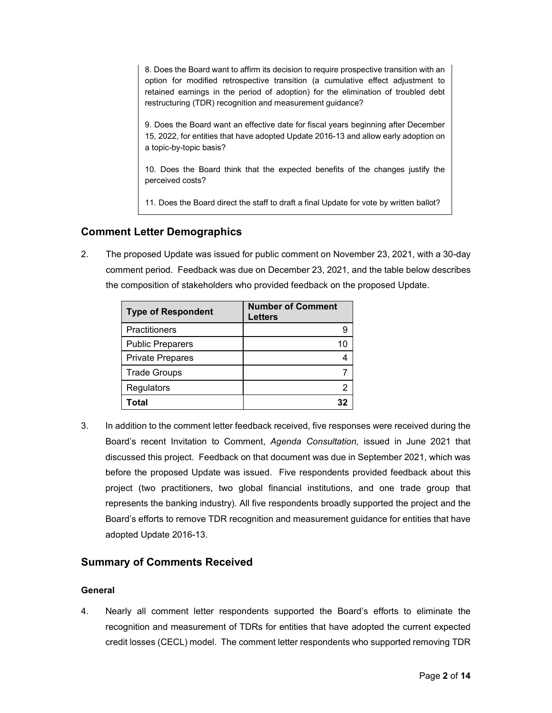8. Does the Board want to affirm its decision to require prospective transition with an option for modified retrospective transition (a cumulative effect adjustment to retained earnings in the period of adoption) for the elimination of troubled debt restructuring (TDR) recognition and measurement guidance?

9. Does the Board want an effective date for fiscal years beginning after December 15, 2022, for entities that have adopted Update 2016-13 and allow early adoption on a topic-by-topic basis?

10. Does the Board think that the expected benefits of the changes justify the perceived costs?

11. Does the Board direct the staff to draft a final Update for vote by written ballot?

# **Comment Letter Demographics**

2. The proposed Update was issued for public comment on November 23, 2021, with a 30-day comment period. Feedback was due on December 23, 2021, and the table below describes the composition of stakeholders who provided feedback on the proposed Update.

| <b>Type of Respondent</b> | <b>Number of Comment</b><br><b>Letters</b> |
|---------------------------|--------------------------------------------|
| Practitioners             |                                            |
| <b>Public Preparers</b>   | 10                                         |
| <b>Private Prepares</b>   |                                            |
| <b>Trade Groups</b>       |                                            |
| Regulators                |                                            |
| Total                     |                                            |

3. In addition to the comment letter feedback received, five responses were received during the Board's recent Invitation to Comment, *Agenda Consultation,* issued in June 2021 that discussed this project. Feedback on that document was due in September 2021, which was before the proposed Update was issued. Five respondents provided feedback about this project (two practitioners, two global financial institutions, and one trade group that represents the banking industry). All five respondents broadly supported the project and the Board's efforts to remove TDR recognition and measurement guidance for entities that have adopted Update 2016-13.

# **Summary of Comments Received**

#### **General**

4. Nearly all comment letter respondents supported the Board's efforts to eliminate the recognition and measurement of TDRs for entities that have adopted the current expected credit losses (CECL) model. The comment letter respondents who supported removing TDR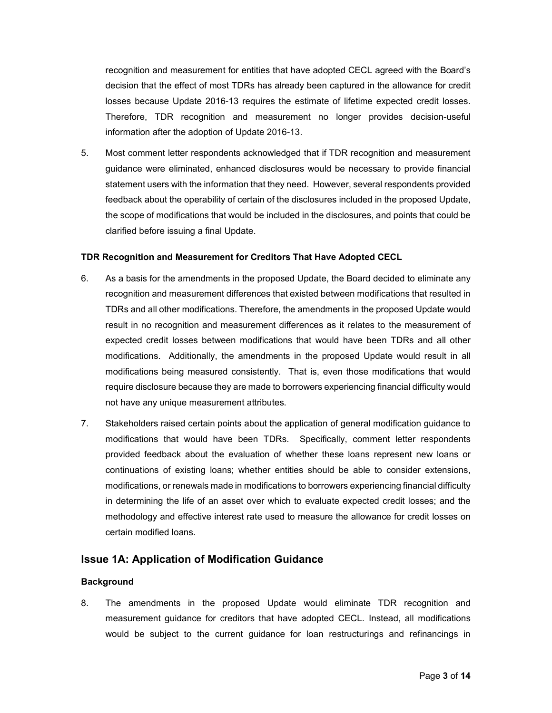recognition and measurement for entities that have adopted CECL agreed with the Board's decision that the effect of most TDRs has already been captured in the allowance for credit losses because Update 2016-13 requires the estimate of lifetime expected credit losses. Therefore, TDR recognition and measurement no longer provides decision-useful information after the adoption of Update 2016-13.

5. Most comment letter respondents acknowledged that if TDR recognition and measurement guidance were eliminated, enhanced disclosures would be necessary to provide financial statement users with the information that they need. However, several respondents provided feedback about the operability of certain of the disclosures included in the proposed Update, the scope of modifications that would be included in the disclosures, and points that could be clarified before issuing a final Update.

#### **TDR Recognition and Measurement for Creditors That Have Adopted CECL**

- 6. As a basis for the amendments in the proposed Update, the Board decided to eliminate any recognition and measurement differences that existed between modifications that resulted in TDRs and all other modifications. Therefore, the amendments in the proposed Update would result in no recognition and measurement differences as it relates to the measurement of expected credit losses between modifications that would have been TDRs and all other modifications. Additionally, the amendments in the proposed Update would result in all modifications being measured consistently. That is, even those modifications that would require disclosure because they are made to borrowers experiencing financial difficulty would not have any unique measurement attributes.
- 7. Stakeholders raised certain points about the application of general modification guidance to modifications that would have been TDRs. Specifically, comment letter respondents provided feedback about the evaluation of whether these loans represent new loans or continuations of existing loans; whether entities should be able to consider extensions, modifications, or renewals made in modifications to borrowers experiencing financial difficulty in determining the life of an asset over which to evaluate expected credit losses; and the methodology and effective interest rate used to measure the allowance for credit losses on certain modified loans.

# **Issue 1A: Application of Modification Guidance**

#### **Background**

8. The amendments in the proposed Update would eliminate TDR recognition and measurement guidance for creditors that have adopted CECL. Instead, all modifications would be subject to the current guidance for loan restructurings and refinancings in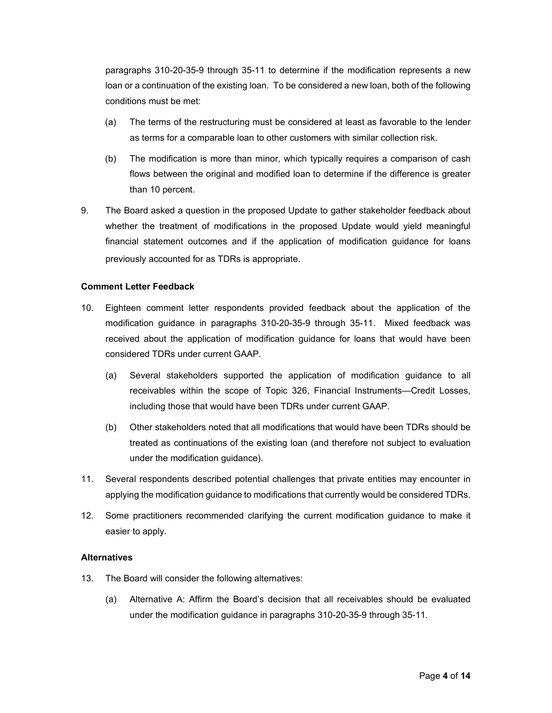paragraphs 310-20-35-9 through 35-11 to determine if the modification represents a new loan or a continuation of the existing loan. To be considered a new loan, both of the following conditions must be met:

- (a) The terms of the restructuring must be considered at least as favorable to the lender as terms for a comparable loan to other customers with similar collection risk.
- (b) The modification is more than minor, which typically requires a comparison of cash flows between the original and modified loan to determine if the difference is greater than 10 percent.
- 9. The Board asked a question in the proposed Update to gather stakeholder feedback about whether the treatment of modifications in the proposed Update would yield meaningful financial statement outcomes and if the application of modification guidance for loans previously accounted for as TDRs is appropriate.

#### **Comment Letter Feedback**

- 10. Eighteen comment letter respondents provided feedback about the application of the modification guidance in paragraphs 310-20-35-9 through 35-11. Mixed feedback was received about the application of modification guidance for loans that would have been considered TDRs under current GAAP.
	- (a) Several stakeholders supported the application of modification guidance to all receivables within the scope of Topic 326, Financial Instruments—Credit Losses, including those that would have been TDRs under current GAAP.
	- (b) Other stakeholders noted that all modifications that would have been TDRs should be treated as continuations of the existing loan (and therefore not subject to evaluation under the modification guidance).
- 11. Several respondents described potential challenges that private entities may encounter in applying the modification guidance to modifications that currently would be considered TDRs.
- 12. Some practitioners recommended clarifying the current modification guidance to make it easier to apply.

#### **Alternatives**

- 13. The Board will consider the following alternatives:
	- (a) Alternative A: Affirm the Board's decision that all receivables should be evaluated under the modification guidance in paragraphs 310-20-35-9 through 35-11.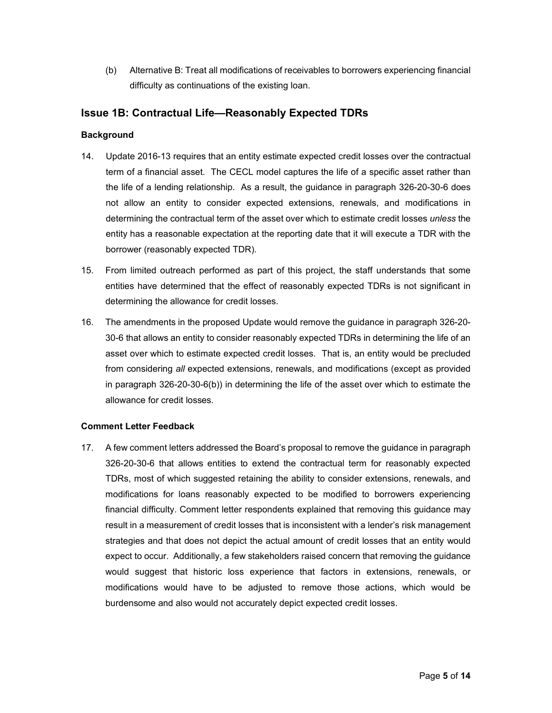(b) Alternative B: Treat all modifications of receivables to borrowers experiencing financial difficulty as continuations of the existing loan.

# **Issue 1B: Contractual Life—Reasonably Expected TDRs**

#### **Background**

- 14. Update 2016-13 requires that an entity estimate expected credit losses over the contractual term of a financial asset. The CECL model captures the life of a specific asset rather than the life of a lending relationship. As a result, the guidance in paragraph 326-20-30-6 does not allow an entity to consider expected extensions, renewals, and modifications in determining the contractual term of the asset over which to estimate credit losses *unless* the entity has a reasonable expectation at the reporting date that it will execute a TDR with the borrower (reasonably expected TDR).
- 15. From limited outreach performed as part of this project, the staff understands that some entities have determined that the effect of reasonably expected TDRs is not significant in determining the allowance for credit losses.
- 16. The amendments in the proposed Update would remove the guidance in paragraph 326-20- 30-6 that allows an entity to consider reasonably expected TDRs in determining the life of an asset over which to estimate expected credit losses. That is, an entity would be precluded from considering *all* expected extensions, renewals, and modifications (except as provided in paragraph 326-20-30-6(b)) in determining the life of the asset over which to estimate the allowance for credit losses.

#### **Comment Letter Feedback**

17. A few comment letters addressed the Board's proposal to remove the guidance in paragraph 326-20-30-6 that allows entities to extend the contractual term for reasonably expected TDRs, most of which suggested retaining the ability to consider extensions, renewals, and modifications for loans reasonably expected to be modified to borrowers experiencing financial difficulty. Comment letter respondents explained that removing this guidance may result in a measurement of credit losses that is inconsistent with a lender's risk management strategies and that does not depict the actual amount of credit losses that an entity would expect to occur. Additionally, a few stakeholders raised concern that removing the guidance would suggest that historic loss experience that factors in extensions, renewals, or modifications would have to be adjusted to remove those actions, which would be burdensome and also would not accurately depict expected credit losses.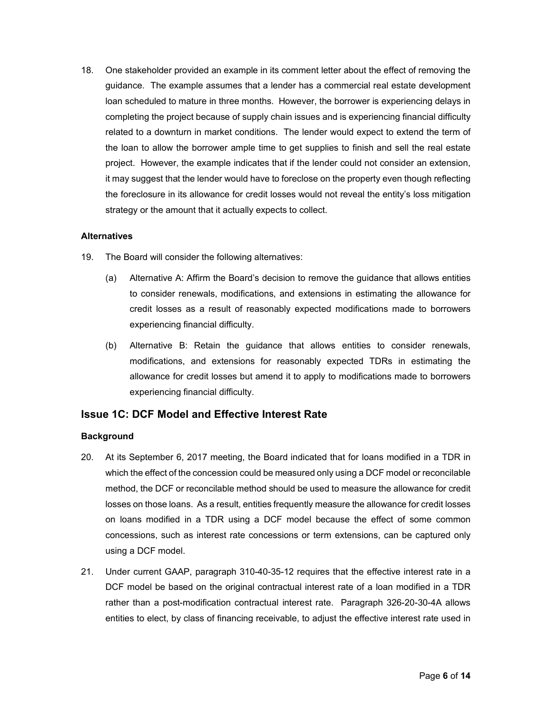18. One stakeholder provided an example in its comment letter about the effect of removing the guidance. The example assumes that a lender has a commercial real estate development loan scheduled to mature in three months. However, the borrower is experiencing delays in completing the project because of supply chain issues and is experiencing financial difficulty related to a downturn in market conditions. The lender would expect to extend the term of the loan to allow the borrower ample time to get supplies to finish and sell the real estate project. However, the example indicates that if the lender could not consider an extension, it may suggest that the lender would have to foreclose on the property even though reflecting the foreclosure in its allowance for credit losses would not reveal the entity's loss mitigation strategy or the amount that it actually expects to collect.

#### **Alternatives**

- 19. The Board will consider the following alternatives:
	- (a) Alternative A: Affirm the Board's decision to remove the guidance that allows entities to consider renewals, modifications, and extensions in estimating the allowance for credit losses as a result of reasonably expected modifications made to borrowers experiencing financial difficulty.
	- (b) Alternative B: Retain the guidance that allows entities to consider renewals, modifications, and extensions for reasonably expected TDRs in estimating the allowance for credit losses but amend it to apply to modifications made to borrowers experiencing financial difficulty.

# **Issue 1C: DCF Model and Effective Interest Rate**

#### **Background**

- 20. At its September 6, 2017 meeting, the Board indicated that for loans modified in a TDR in which the effect of the concession could be measured only using a DCF model or reconcilable method, the DCF or reconcilable method should be used to measure the allowance for credit losses on those loans. As a result, entities frequently measure the allowance for credit losses on loans modified in a TDR using a DCF model because the effect of some common concessions, such as interest rate concessions or term extensions, can be captured only using a DCF model.
- 21. Under current GAAP, paragraph 310-40-35-12 requires that the effective interest rate in a DCF model be based on the original contractual interest rate of a loan modified in a TDR rather than a post-modification contractual interest rate. Paragraph 326-20-30-4A allows entities to elect, by class of financing receivable, to adjust the effective interest rate used in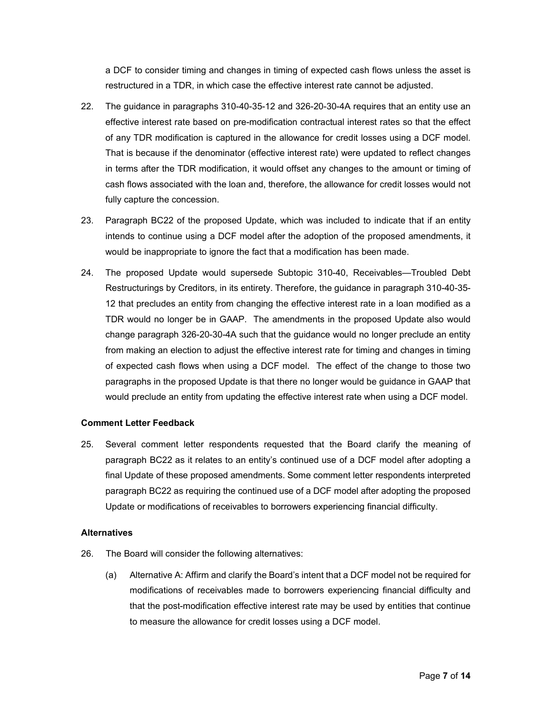a DCF to consider timing and changes in timing of expected cash flows unless the asset is restructured in a TDR, in which case the effective interest rate cannot be adjusted.

- 22. The guidance in paragraphs 310-40-35-12 and 326-20-30-4A requires that an entity use an effective interest rate based on pre-modification contractual interest rates so that the effect of any TDR modification is captured in the allowance for credit losses using a DCF model. That is because if the denominator (effective interest rate) were updated to reflect changes in terms after the TDR modification, it would offset any changes to the amount or timing of cash flows associated with the loan and, therefore, the allowance for credit losses would not fully capture the concession.
- 23. Paragraph BC22 of the proposed Update, which was included to indicate that if an entity intends to continue using a DCF model after the adoption of the proposed amendments, it would be inappropriate to ignore the fact that a modification has been made.
- 24. The proposed Update would supersede Subtopic 310-40, Receivables—Troubled Debt Restructurings by Creditors, in its entirety. Therefore, the guidance in paragraph 310-40-35- 12 that precludes an entity from changing the effective interest rate in a loan modified as a TDR would no longer be in GAAP. The amendments in the proposed Update also would change paragraph 326-20-30-4A such that the guidance would no longer preclude an entity from making an election to adjust the effective interest rate for timing and changes in timing of expected cash flows when using a DCF model. The effect of the change to those two paragraphs in the proposed Update is that there no longer would be guidance in GAAP that would preclude an entity from updating the effective interest rate when using a DCF model.

#### **Comment Letter Feedback**

25. Several comment letter respondents requested that the Board clarify the meaning of paragraph BC22 as it relates to an entity's continued use of a DCF model after adopting a final Update of these proposed amendments. Some comment letter respondents interpreted paragraph BC22 as requiring the continued use of a DCF model after adopting the proposed Update or modifications of receivables to borrowers experiencing financial difficulty.

#### **Alternatives**

- 26. The Board will consider the following alternatives:
	- (a) Alternative A: Affirm and clarify the Board's intent that a DCF model not be required for modifications of receivables made to borrowers experiencing financial difficulty and that the post-modification effective interest rate may be used by entities that continue to measure the allowance for credit losses using a DCF model.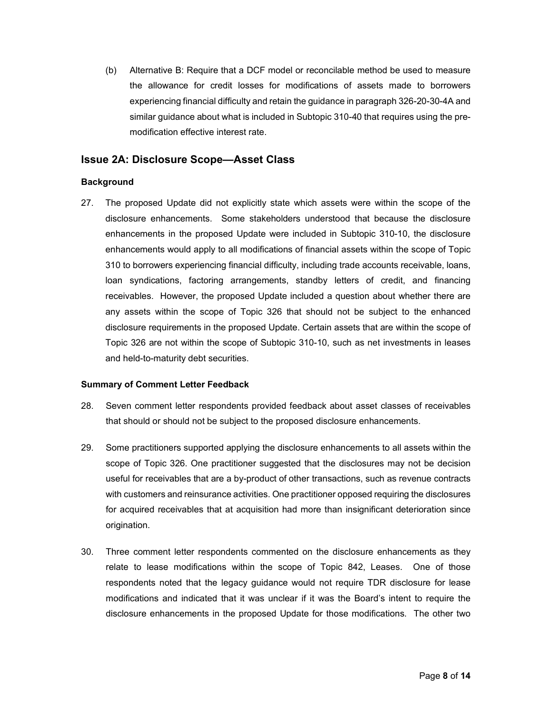(b) Alternative B: Require that a DCF model or reconcilable method be used to measure the allowance for credit losses for modifications of assets made to borrowers experiencing financial difficulty and retain the guidance in paragraph 326-20-30-4A and similar guidance about what is included in Subtopic 310-40 that requires using the premodification effective interest rate.

# **Issue 2A: Disclosure Scope—Asset Class**

#### **Background**

27. The proposed Update did not explicitly state which assets were within the scope of the disclosure enhancements. Some stakeholders understood that because the disclosure enhancements in the proposed Update were included in Subtopic 310-10, the disclosure enhancements would apply to all modifications of financial assets within the scope of Topic 310 to borrowers experiencing financial difficulty, including trade accounts receivable, loans, loan syndications, factoring arrangements, standby letters of credit, and financing receivables. However, the proposed Update included a question about whether there are any assets within the scope of Topic 326 that should not be subject to the enhanced disclosure requirements in the proposed Update. Certain assets that are within the scope of Topic 326 are not within the scope of Subtopic 310-10, such as net investments in leases and held-to-maturity debt securities.

#### **Summary of Comment Letter Feedback**

- 28. Seven comment letter respondents provided feedback about asset classes of receivables that should or should not be subject to the proposed disclosure enhancements.
- 29. Some practitioners supported applying the disclosure enhancements to all assets within the scope of Topic 326. One practitioner suggested that the disclosures may not be decision useful for receivables that are a by-product of other transactions, such as revenue contracts with customers and reinsurance activities. One practitioner opposed requiring the disclosures for acquired receivables that at acquisition had more than insignificant deterioration since origination.
- 30. Three comment letter respondents commented on the disclosure enhancements as they relate to lease modifications within the scope of Topic 842, Leases. One of those respondents noted that the legacy guidance would not require TDR disclosure for lease modifications and indicated that it was unclear if it was the Board's intent to require the disclosure enhancements in the proposed Update for those modifications. The other two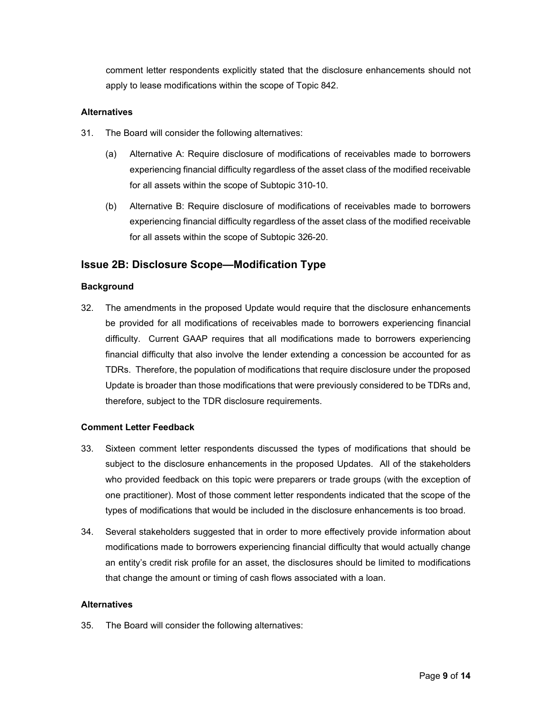comment letter respondents explicitly stated that the disclosure enhancements should not apply to lease modifications within the scope of Topic 842.

#### **Alternatives**

- 31. The Board will consider the following alternatives:
	- (a) Alternative A: Require disclosure of modifications of receivables made to borrowers experiencing financial difficulty regardless of the asset class of the modified receivable for all assets within the scope of Subtopic 310-10.
	- (b) Alternative B: Require disclosure of modifications of receivables made to borrowers experiencing financial difficulty regardless of the asset class of the modified receivable for all assets within the scope of Subtopic 326-20.

# **Issue 2B: Disclosure Scope—Modification Type**

#### **Background**

32. The amendments in the proposed Update would require that the disclosure enhancements be provided for all modifications of receivables made to borrowers experiencing financial difficulty. Current GAAP requires that all modifications made to borrowers experiencing financial difficulty that also involve the lender extending a concession be accounted for as TDRs. Therefore, the population of modifications that require disclosure under the proposed Update is broader than those modifications that were previously considered to be TDRs and, therefore, subject to the TDR disclosure requirements.

#### **Comment Letter Feedback**

- 33. Sixteen comment letter respondents discussed the types of modifications that should be subject to the disclosure enhancements in the proposed Updates. All of the stakeholders who provided feedback on this topic were preparers or trade groups (with the exception of one practitioner). Most of those comment letter respondents indicated that the scope of the types of modifications that would be included in the disclosure enhancements is too broad.
- 34. Several stakeholders suggested that in order to more effectively provide information about modifications made to borrowers experiencing financial difficulty that would actually change an entity's credit risk profile for an asset, the disclosures should be limited to modifications that change the amount or timing of cash flows associated with a loan.

#### **Alternatives**

35. The Board will consider the following alternatives: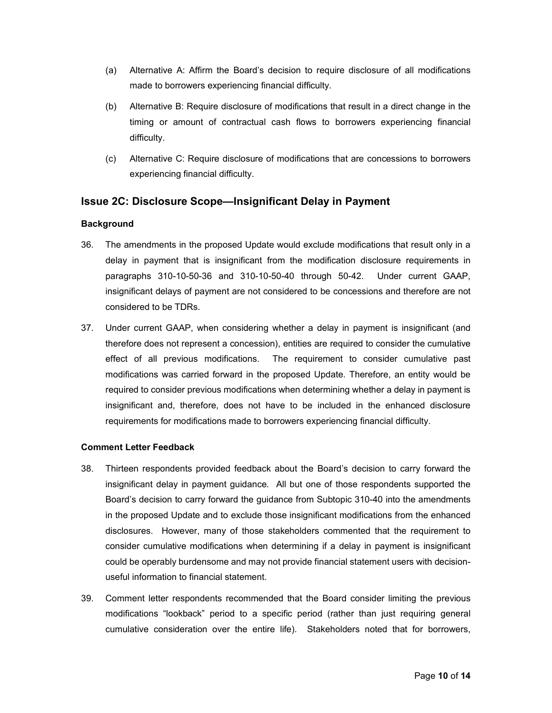- (a) Alternative A: Affirm the Board's decision to require disclosure of all modifications made to borrowers experiencing financial difficulty.
- (b) Alternative B: Require disclosure of modifications that result in a direct change in the timing or amount of contractual cash flows to borrowers experiencing financial difficulty.
- (c) Alternative C: Require disclosure of modifications that are concessions to borrowers experiencing financial difficulty.

# **Issue 2C: Disclosure Scope—Insignificant Delay in Payment**

#### **Background**

- 36. The amendments in the proposed Update would exclude modifications that result only in a delay in payment that is insignificant from the modification disclosure requirements in paragraphs 310-10-50-36 and 310-10-50-40 through 50-42. Under current GAAP, insignificant delays of payment are not considered to be concessions and therefore are not considered to be TDRs.
- 37. Under current GAAP, when considering whether a delay in payment is insignificant (and therefore does not represent a concession), entities are required to consider the cumulative effect of all previous modifications. The requirement to consider cumulative past modifications was carried forward in the proposed Update. Therefore, an entity would be required to consider previous modifications when determining whether a delay in payment is insignificant and, therefore, does not have to be included in the enhanced disclosure requirements for modifications made to borrowers experiencing financial difficulty.

#### **Comment Letter Feedback**

- 38. Thirteen respondents provided feedback about the Board's decision to carry forward the insignificant delay in payment guidance. All but one of those respondents supported the Board's decision to carry forward the guidance from Subtopic 310-40 into the amendments in the proposed Update and to exclude those insignificant modifications from the enhanced disclosures. However, many of those stakeholders commented that the requirement to consider cumulative modifications when determining if a delay in payment is insignificant could be operably burdensome and may not provide financial statement users with decisionuseful information to financial statement.
- 39. Comment letter respondents recommended that the Board consider limiting the previous modifications "lookback" period to a specific period (rather than just requiring general cumulative consideration over the entire life). Stakeholders noted that for borrowers,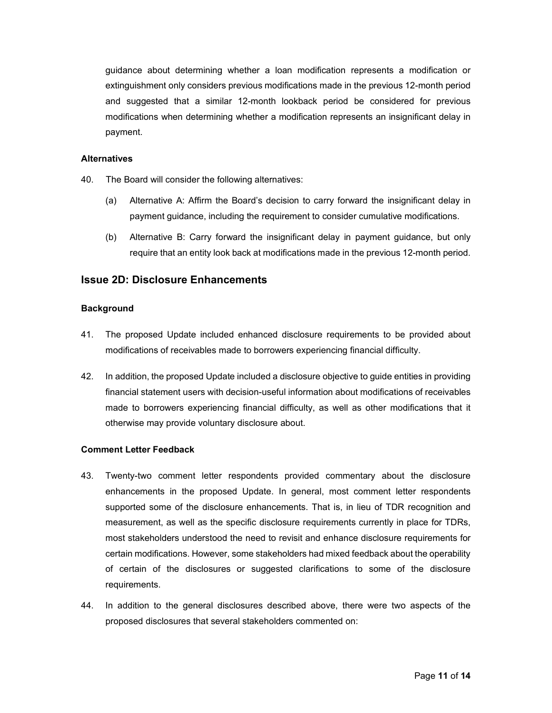guidance about determining whether a loan modification represents a modification or extinguishment only considers previous modifications made in the previous 12-month period and suggested that a similar 12-month lookback period be considered for previous modifications when determining whether a modification represents an insignificant delay in payment.

#### **Alternatives**

- 40. The Board will consider the following alternatives:
	- (a) Alternative A: Affirm the Board's decision to carry forward the insignificant delay in payment guidance, including the requirement to consider cumulative modifications.
	- (b) Alternative B: Carry forward the insignificant delay in payment guidance, but only require that an entity look back at modifications made in the previous 12-month period.

#### **Issue 2D: Disclosure Enhancements**

#### **Background**

- 41. The proposed Update included enhanced disclosure requirements to be provided about modifications of receivables made to borrowers experiencing financial difficulty.
- 42. In addition, the proposed Update included a disclosure objective to guide entities in providing financial statement users with decision-useful information about modifications of receivables made to borrowers experiencing financial difficulty, as well as other modifications that it otherwise may provide voluntary disclosure about.

#### **Comment Letter Feedback**

- 43. Twenty-two comment letter respondents provided commentary about the disclosure enhancements in the proposed Update. In general, most comment letter respondents supported some of the disclosure enhancements. That is, in lieu of TDR recognition and measurement, as well as the specific disclosure requirements currently in place for TDRs, most stakeholders understood the need to revisit and enhance disclosure requirements for certain modifications. However, some stakeholders had mixed feedback about the operability of certain of the disclosures or suggested clarifications to some of the disclosure requirements.
- 44. In addition to the general disclosures described above, there were two aspects of the proposed disclosures that several stakeholders commented on: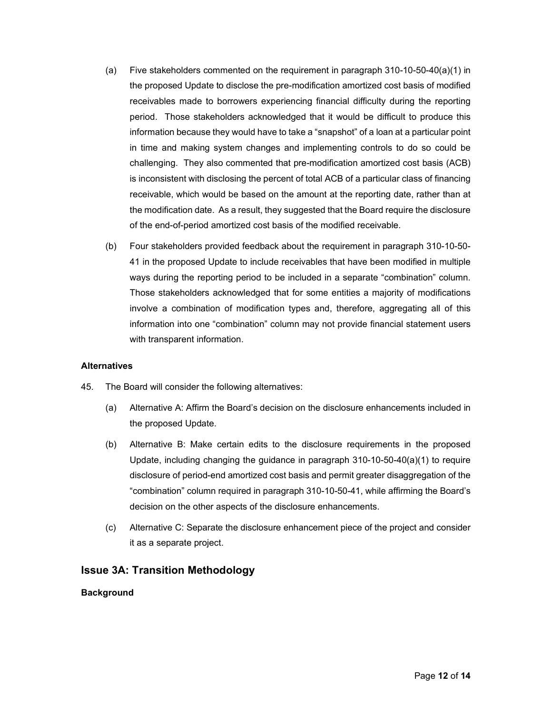- (a) Five stakeholders commented on the requirement in paragraph 310-10-50-40(a)(1) in the proposed Update to disclose the pre-modification amortized cost basis of modified receivables made to borrowers experiencing financial difficulty during the reporting period. Those stakeholders acknowledged that it would be difficult to produce this information because they would have to take a "snapshot" of a loan at a particular point in time and making system changes and implementing controls to do so could be challenging. They also commented that pre-modification amortized cost basis (ACB) is inconsistent with disclosing the percent of total ACB of a particular class of financing receivable, which would be based on the amount at the reporting date, rather than at the modification date. As a result, they suggested that the Board require the disclosure of the end-of-period amortized cost basis of the modified receivable.
- (b) Four stakeholders provided feedback about the requirement in paragraph 310-10-50- 41 in the proposed Update to include receivables that have been modified in multiple ways during the reporting period to be included in a separate "combination" column. Those stakeholders acknowledged that for some entities a majority of modifications involve a combination of modification types and, therefore, aggregating all of this information into one "combination" column may not provide financial statement users with transparent information.

#### **Alternatives**

- 45. The Board will consider the following alternatives:
	- (a) Alternative A: Affirm the Board's decision on the disclosure enhancements included in the proposed Update.
	- (b) Alternative B: Make certain edits to the disclosure requirements in the proposed Update, including changing the guidance in paragraph 310-10-50-40(a)(1) to require disclosure of period-end amortized cost basis and permit greater disaggregation of the "combination" column required in paragraph 310-10-50-41, while affirming the Board's decision on the other aspects of the disclosure enhancements.
	- (c) Alternative C: Separate the disclosure enhancement piece of the project and consider it as a separate project.

# **Issue 3A: Transition Methodology**

#### **Background**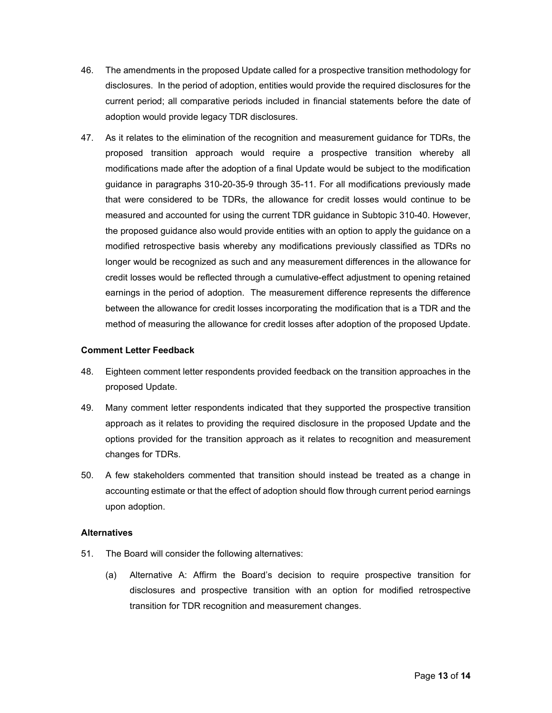- 46. The amendments in the proposed Update called for a prospective transition methodology for disclosures. In the period of adoption, entities would provide the required disclosures for the current period; all comparative periods included in financial statements before the date of adoption would provide legacy TDR disclosures.
- 47. As it relates to the elimination of the recognition and measurement guidance for TDRs, the proposed transition approach would require a prospective transition whereby all modifications made after the adoption of a final Update would be subject to the modification guidance in paragraphs 310-20-35-9 through 35-11. For all modifications previously made that were considered to be TDRs, the allowance for credit losses would continue to be measured and accounted for using the current TDR guidance in Subtopic 310-40. However, the proposed guidance also would provide entities with an option to apply the guidance on a modified retrospective basis whereby any modifications previously classified as TDRs no longer would be recognized as such and any measurement differences in the allowance for credit losses would be reflected through a cumulative-effect adjustment to opening retained earnings in the period of adoption. The measurement difference represents the difference between the allowance for credit losses incorporating the modification that is a TDR and the method of measuring the allowance for credit losses after adoption of the proposed Update.

#### **Comment Letter Feedback**

- 48. Eighteen comment letter respondents provided feedback on the transition approaches in the proposed Update.
- 49. Many comment letter respondents indicated that they supported the prospective transition approach as it relates to providing the required disclosure in the proposed Update and the options provided for the transition approach as it relates to recognition and measurement changes for TDRs.
- 50. A few stakeholders commented that transition should instead be treated as a change in accounting estimate or that the effect of adoption should flow through current period earnings upon adoption.

#### **Alternatives**

- 51. The Board will consider the following alternatives:
	- (a) Alternative A: Affirm the Board's decision to require prospective transition for disclosures and prospective transition with an option for modified retrospective transition for TDR recognition and measurement changes.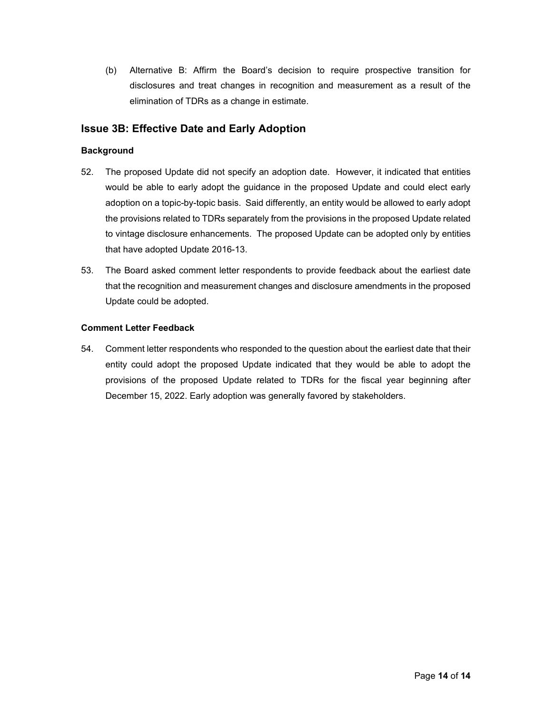(b) Alternative B: Affirm the Board's decision to require prospective transition for disclosures and treat changes in recognition and measurement as a result of the elimination of TDRs as a change in estimate.

# **Issue 3B: Effective Date and Early Adoption**

### **Background**

- 52. The proposed Update did not specify an adoption date. However, it indicated that entities would be able to early adopt the guidance in the proposed Update and could elect early adoption on a topic-by-topic basis. Said differently, an entity would be allowed to early adopt the provisions related to TDRs separately from the provisions in the proposed Update related to vintage disclosure enhancements. The proposed Update can be adopted only by entities that have adopted Update 2016-13.
- 53. The Board asked comment letter respondents to provide feedback about the earliest date that the recognition and measurement changes and disclosure amendments in the proposed Update could be adopted.

#### **Comment Letter Feedback**

54. Comment letter respondents who responded to the question about the earliest date that their entity could adopt the proposed Update indicated that they would be able to adopt the provisions of the proposed Update related to TDRs for the fiscal year beginning after December 15, 2022. Early adoption was generally favored by stakeholders.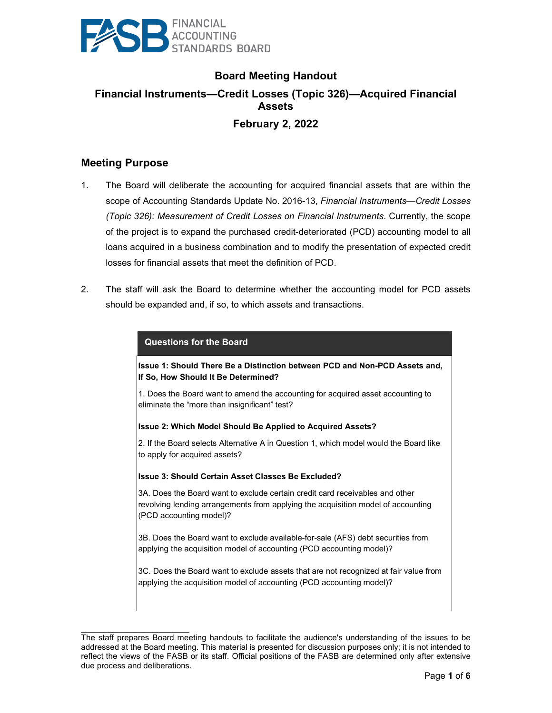

# **Board Meeting Handout Financial Instruments—Credit Losses (Topic 326)—Acquired Financial Assets February 2, 2022**

# **Meeting Purpose**

 $\mathcal{L}_\text{max}$  , where  $\mathcal{L}_\text{max}$  and  $\mathcal{L}_\text{max}$ 

- 1. The Board will deliberate the accounting for acquired financial assets that are within the scope of Accounting Standards Update No. 2016-13, *Financial Instruments—Credit Losses (Topic 326): Measurement of Credit Losses on Financial Instruments*. Currently, the scope of the project is to expand the purchased credit-deteriorated (PCD) accounting model to all loans acquired in a business combination and to modify the presentation of expected credit losses for financial assets that meet the definition of PCD.
- 2. The staff will ask the Board to determine whether the accounting model for PCD assets should be expanded and, if so, to which assets and transactions.

| <b>Questions for the Board</b>                                                                                                                                                              |  |  |
|---------------------------------------------------------------------------------------------------------------------------------------------------------------------------------------------|--|--|
| Issue 1: Should There Be a Distinction between PCD and Non-PCD Assets and,<br>If So, How Should It Be Determined?                                                                           |  |  |
| 1. Does the Board want to amend the accounting for acquired asset accounting to<br>eliminate the "more than insignificant" test?                                                            |  |  |
| Issue 2: Which Model Should Be Applied to Acquired Assets?                                                                                                                                  |  |  |
| 2. If the Board selects Alternative A in Question 1, which model would the Board like<br>to apply for acquired assets?                                                                      |  |  |
| Ilssue 3: Should Certain Asset Classes Be Excluded?                                                                                                                                         |  |  |
| 3A. Does the Board want to exclude certain credit card receivables and other<br>revolving lending arrangements from applying the acquisition model of accounting<br>(PCD accounting model)? |  |  |
| 3B. Does the Board want to exclude available-for-sale (AFS) debt securities from<br>applying the acquisition model of accounting (PCD accounting model)?                                    |  |  |
| 3C. Does the Board want to exclude assets that are not recognized at fair value from<br>applying the acquisition model of accounting (PCD accounting model)?                                |  |  |
|                                                                                                                                                                                             |  |  |

The staff prepares Board meeting handouts to facilitate the audience's understanding of the issues to be addressed at the Board meeting. This material is presented for discussion purposes only; it is not intended to reflect the views of the FASB or its staff. Official positions of the FASB are determined only after extensive due process and deliberations.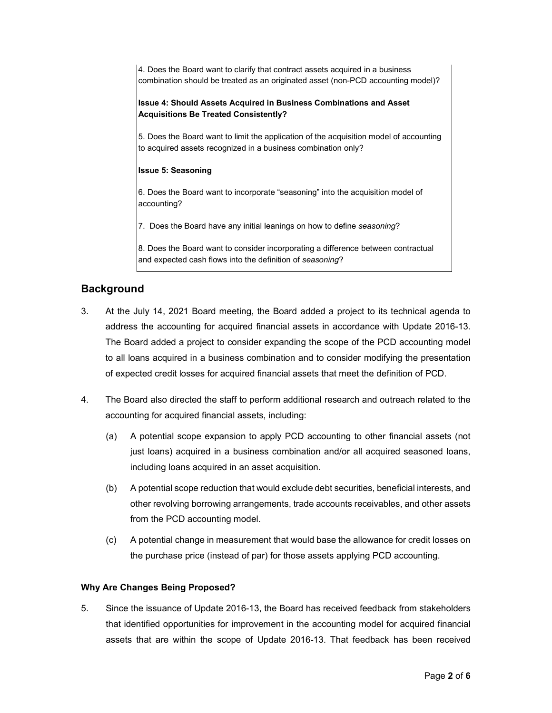4. Does the Board want to clarify that contract assets acquired in a business combination should be treated as an originated asset (non-PCD accounting model)?

#### **Issue 4: Should Assets Acquired in Business Combinations and Asset Acquisitions Be Treated Consistently?**

5. Does the Board want to limit the application of the acquisition model of accounting to acquired assets recognized in a business combination only?

#### **Issue 5: Seasoning**

6. Does the Board want to incorporate "seasoning" into the acquisition model of accounting?

7. Does the Board have any initial leanings on how to define *seasoning*?

8. Does the Board want to consider incorporating a difference between contractual and expected cash flows into the definition of *seasoning*?

# **Background**

- 3. At the July 14, 2021 Board meeting, the Board added a project to its technical agenda to address the accounting for acquired financial assets in accordance with Update 2016-13. The Board added a project to consider expanding the scope of the PCD accounting model to all loans acquired in a business combination and to consider modifying the presentation of expected credit losses for acquired financial assets that meet the definition of PCD.
- 4. The Board also directed the staff to perform additional research and outreach related to the accounting for acquired financial assets, including:
	- (a) A potential scope expansion to apply PCD accounting to other financial assets (not just loans) acquired in a business combination and/or all acquired seasoned loans, including loans acquired in an asset acquisition.
	- (b) A potential scope reduction that would exclude debt securities, beneficial interests, and other revolving borrowing arrangements, trade accounts receivables, and other assets from the PCD accounting model.
	- (c) A potential change in measurement that would base the allowance for credit losses on the purchase price (instead of par) for those assets applying PCD accounting.

#### **Why Are Changes Being Proposed?**

5. Since the issuance of Update 2016-13, the Board has received feedback from stakeholders that identified opportunities for improvement in the accounting model for acquired financial assets that are within the scope of Update 2016-13. That feedback has been received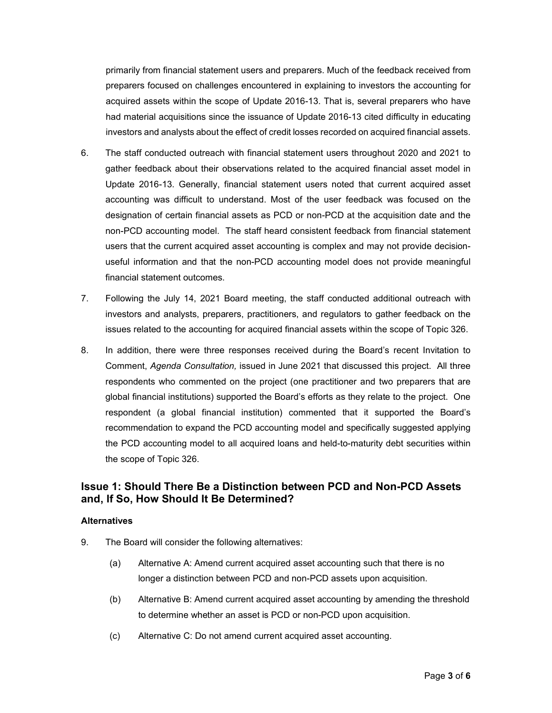primarily from financial statement users and preparers. Much of the feedback received from preparers focused on challenges encountered in explaining to investors the accounting for acquired assets within the scope of Update 2016-13. That is, several preparers who have had material acquisitions since the issuance of Update 2016-13 cited difficulty in educating investors and analysts about the effect of credit losses recorded on acquired financial assets.

- 6. The staff conducted outreach with financial statement users throughout 2020 and 2021 to gather feedback about their observations related to the acquired financial asset model in Update 2016-13. Generally, financial statement users noted that current acquired asset accounting was difficult to understand. Most of the user feedback was focused on the designation of certain financial assets as PCD or non-PCD at the acquisition date and the non-PCD accounting model. The staff heard consistent feedback from financial statement users that the current acquired asset accounting is complex and may not provide decisionuseful information and that the non-PCD accounting model does not provide meaningful financial statement outcomes.
- 7. Following the July 14, 2021 Board meeting, the staff conducted additional outreach with investors and analysts, preparers, practitioners, and regulators to gather feedback on the issues related to the accounting for acquired financial assets within the scope of Topic 326.
- 8. In addition, there were three responses received during the Board's recent Invitation to Comment, *Agenda Consultation,* issued in June 2021 that discussed this project. All three respondents who commented on the project (one practitioner and two preparers that are global financial institutions) supported the Board's efforts as they relate to the project. One respondent (a global financial institution) commented that it supported the Board's recommendation to expand the PCD accounting model and specifically suggested applying the PCD accounting model to all acquired loans and held-to-maturity debt securities within the scope of Topic 326.

# **Issue 1: Should There Be a Distinction between PCD and Non-PCD Assets and, If So, How Should It Be Determined?**

#### **Alternatives**

- 9. The Board will consider the following alternatives:
	- (a) Alternative A: Amend current acquired asset accounting such that there is no longer a distinction between PCD and non-PCD assets upon acquisition.
	- (b) Alternative B: Amend current acquired asset accounting by amending the threshold to determine whether an asset is PCD or non-PCD upon acquisition.
	- (c) Alternative C: Do not amend current acquired asset accounting.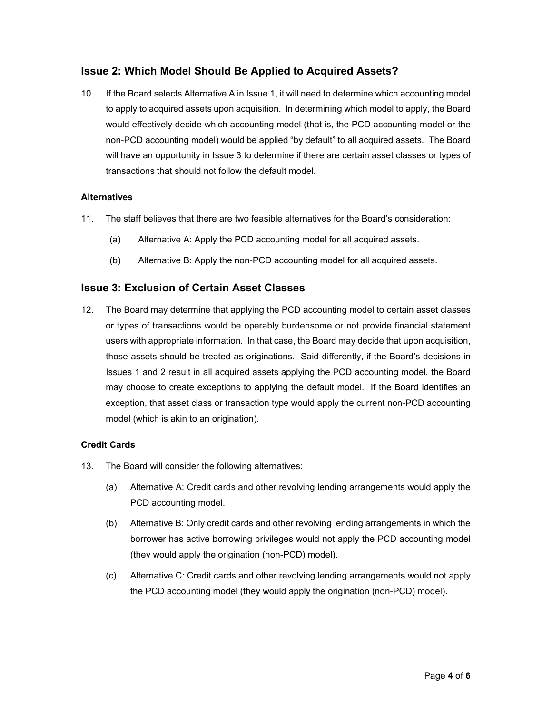# **Issue 2: Which Model Should Be Applied to Acquired Assets?**

10. If the Board selects Alternative A in Issue 1, it will need to determine which accounting model to apply to acquired assets upon acquisition. In determining which model to apply, the Board would effectively decide which accounting model (that is, the PCD accounting model or the non-PCD accounting model) would be applied "by default" to all acquired assets. The Board will have an opportunity in Issue 3 to determine if there are certain asset classes or types of transactions that should not follow the default model.

#### **Alternatives**

- 11. The staff believes that there are two feasible alternatives for the Board's consideration:
	- (a) Alternative A: Apply the PCD accounting model for all acquired assets.
	- (b) Alternative B: Apply the non-PCD accounting model for all acquired assets.

# **Issue 3: Exclusion of Certain Asset Classes**

12. The Board may determine that applying the PCD accounting model to certain asset classes or types of transactions would be operably burdensome or not provide financial statement users with appropriate information. In that case, the Board may decide that upon acquisition, those assets should be treated as originations. Said differently, if the Board's decisions in Issues 1 and 2 result in all acquired assets applying the PCD accounting model, the Board may choose to create exceptions to applying the default model. If the Board identifies an exception, that asset class or transaction type would apply the current non-PCD accounting model (which is akin to an origination).

#### **Credit Cards**

- 13. The Board will consider the following alternatives:
	- (a) Alternative A: Credit cards and other revolving lending arrangements would apply the PCD accounting model.
	- (b) Alternative B: Only credit cards and other revolving lending arrangements in which the borrower has active borrowing privileges would not apply the PCD accounting model (they would apply the origination (non-PCD) model).
	- (c) Alternative C: Credit cards and other revolving lending arrangements would not apply the PCD accounting model (they would apply the origination (non-PCD) model).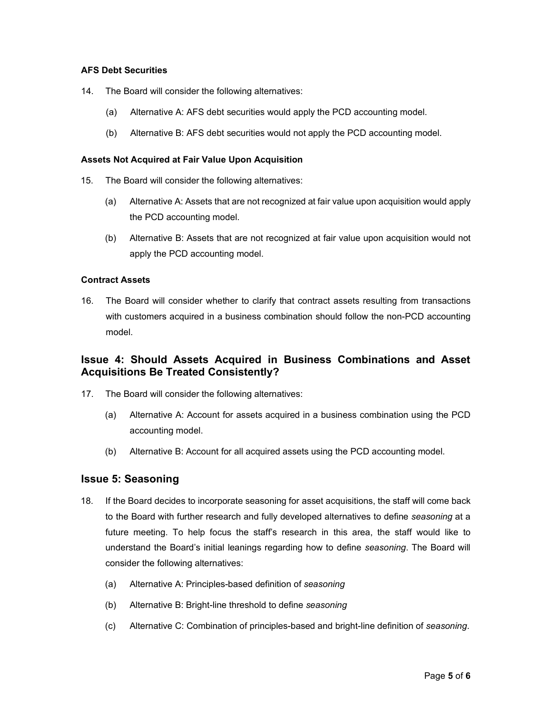#### **AFS Debt Securities**

- 14. The Board will consider the following alternatives:
	- (a) Alternative A: AFS debt securities would apply the PCD accounting model.
	- (b) Alternative B: AFS debt securities would not apply the PCD accounting model.

#### **Assets Not Acquired at Fair Value Upon Acquisition**

- 15. The Board will consider the following alternatives:
	- (a) Alternative A: Assets that are not recognized at fair value upon acquisition would apply the PCD accounting model.
	- (b) Alternative B: Assets that are not recognized at fair value upon acquisition would not apply the PCD accounting model.

#### **Contract Assets**

16. The Board will consider whether to clarify that contract assets resulting from transactions with customers acquired in a business combination should follow the non-PCD accounting model.

# **Issue 4: Should Assets Acquired in Business Combinations and Asset Acquisitions Be Treated Consistently?**

- 17. The Board will consider the following alternatives:
	- (a) Alternative A: Account for assets acquired in a business combination using the PCD accounting model.
	- (b) Alternative B: Account for all acquired assets using the PCD accounting model.

# **Issue 5: Seasoning**

- 18. If the Board decides to incorporate seasoning for asset acquisitions, the staff will come back to the Board with further research and fully developed alternatives to define *seasoning* at a future meeting. To help focus the staff's research in this area, the staff would like to understand the Board's initial leanings regarding how to define *seasoning*. The Board will consider the following alternatives:
	- (a) Alternative A: Principles-based definition of *seasoning*
	- (b) Alternative B: Bright-line threshold to define *seasoning*
	- (c) Alternative C: Combination of principles-based and bright-line definition of *seasoning*.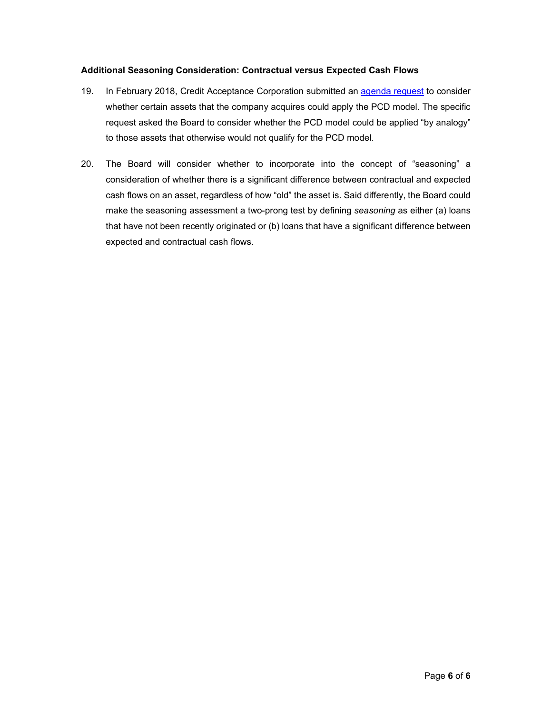### **Additional Seasoning Consideration: Contractual versus Expected Cash Flows**

- 19. In February 2018, Credit Acceptance Corporation submitted an [agenda request](https://www.fasb.org/cs/BlobServer?blobkey=id&blobnocache=true&blobwhere=1175835844362&blobheader=application%2Fpdf&blobheadername2=Content-Length&blobheadername1=Content-Disposition&blobheadervalue2=777800&blobheadervalue1=filename%3DAR-2018.UNS.002.CREDIT_ACCEPTANCE_CORPORATION_KENNETH_S._BOOTH.pdf&blobcol=urldata&blobtable=MungoBlobs) to consider whether certain assets that the company acquires could apply the PCD model. The specific request asked the Board to consider whether the PCD model could be applied "by analogy" to those assets that otherwise would not qualify for the PCD model.
- 20. The Board will consider whether to incorporate into the concept of "seasoning" a consideration of whether there is a significant difference between contractual and expected cash flows on an asset, regardless of how "old" the asset is. Said differently, the Board could make the seasoning assessment a two-prong test by defining *seasoning* as either (a) loans that have not been recently originated or (b) loans that have a significant difference between expected and contractual cash flows.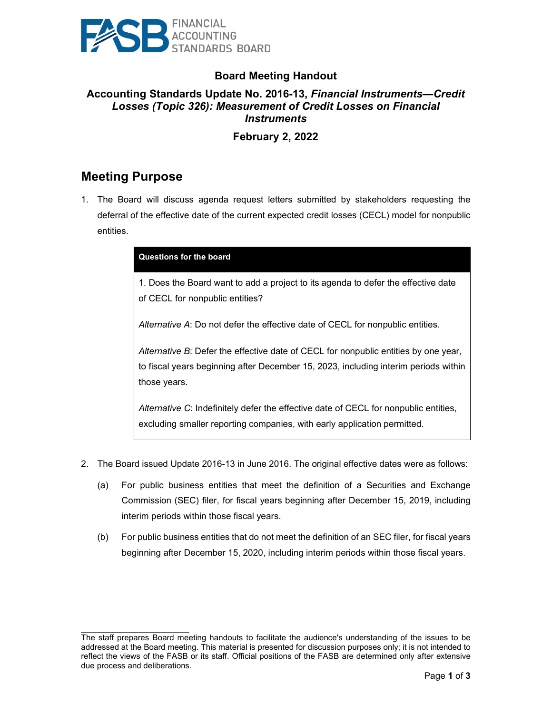

# **Board Meeting Handout**

# **Accounting Standards Update No. 2016-13,** *Financial Instruments—Credit Losses (Topic 326): Measurement of Credit Losses on Financial Instruments*

# **February 2, 2022**

# **Meeting Purpose**

 $\mathcal{L}_\text{max}$  , where  $\mathcal{L}_\text{max}$  and  $\mathcal{L}_\text{max}$ 

1. The Board will discuss agenda request letters submitted by stakeholders requesting the deferral of the effective date of the current expected credit losses (CECL) model for nonpublic entities.

| Questions for the board                                                                                                                                                                    |
|--------------------------------------------------------------------------------------------------------------------------------------------------------------------------------------------|
| 1. Does the Board want to add a project to its agenda to defer the effective date<br>of CECL for nonpublic entities?                                                                       |
| Alternative A: Do not defer the effective date of CECL for nonpublic entities.                                                                                                             |
| Alternative B: Defer the effective date of CECL for nonpublic entities by one year,<br>to fiscal years beginning after December 15, 2023, including interim periods within<br>those years. |
| Alternative C: Indefinitely defer the effective date of CECL for nonpublic entities,<br>excluding smaller reporting companies, with early application permitted.                           |

- 2. The Board issued Update 2016-13 in June 2016. The original effective dates were as follows:
	- (a) For public business entities that meet the definition of a Securities and Exchange Commission (SEC) filer, for fiscal years beginning after December 15, 2019, including interim periods within those fiscal years.
	- (b) For public business entities that do not meet the definition of an SEC filer, for fiscal years beginning after December 15, 2020, including interim periods within those fiscal years.

The staff prepares Board meeting handouts to facilitate the audience's understanding of the issues to be addressed at the Board meeting. This material is presented for discussion purposes only; it is not intended to reflect the views of the FASB or its staff. Official positions of the FASB are determined only after extensive due process and deliberations.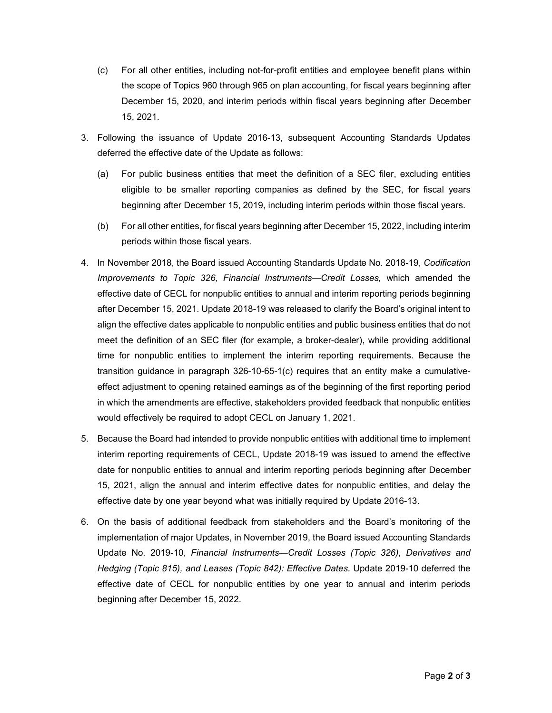- (c) For all other entities, including not-for-profit entities and employee benefit plans within the scope of Topics 960 through 965 on plan accounting, for fiscal years beginning after December 15, 2020, and interim periods within fiscal years beginning after December 15, 2021.
- 3. Following the issuance of Update 2016-13, subsequent Accounting Standards Updates deferred the effective date of the Update as follows:
	- (a) For public business entities that meet the definition of a SEC filer, excluding entities eligible to be smaller reporting companies as defined by the SEC, for fiscal years beginning after December 15, 2019, including interim periods within those fiscal years.
	- (b) For all other entities, for fiscal years beginning after December 15, 2022, including interim periods within those fiscal years.
- 4. In November 2018, the Board issued Accounting Standards Update No. 2018-19, *Codification Improvements to Topic 326, Financial Instruments—Credit Losses,* which amended the effective date of CECL for nonpublic entities to annual and interim reporting periods beginning after December 15, 2021. Update 2018-19 was released to clarify the Board's original intent to align the effective dates applicable to nonpublic entities and public business entities that do not meet the definition of an SEC filer (for example, a broker-dealer), while providing additional time for nonpublic entities to implement the interim reporting requirements. Because the transition guidance in paragraph 326-10-65-1(c) requires that an entity make a cumulativeeffect adjustment to opening retained earnings as of the beginning of the first reporting period in which the amendments are effective, stakeholders provided feedback that nonpublic entities would effectively be required to adopt CECL on January 1, 2021.
- 5. Because the Board had intended to provide nonpublic entities with additional time to implement interim reporting requirements of CECL, Update 2018-19 was issued to amend the effective date for nonpublic entities to annual and interim reporting periods beginning after December 15, 2021, align the annual and interim effective dates for nonpublic entities, and delay the effective date by one year beyond what was initially required by Update 2016-13.
- 6. On the basis of additional feedback from stakeholders and the Board's monitoring of the implementation of major Updates, in November 2019, the Board issued Accounting Standards Update No. 2019-10, *Financial Instruments—Credit Losses (Topic 326), Derivatives and Hedging (Topic 815), and Leases (Topic 842): Effective Dates.* Update 2019-10 deferred the effective date of CECL for nonpublic entities by one year to annual and interim periods beginning after December 15, 2022.